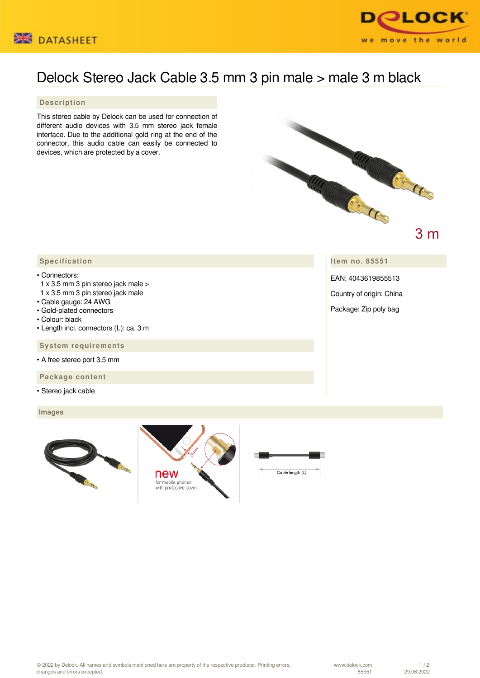



## Delock Stereo Jack Cable 3.5 mm 3 pin male > male 3 m black

## **Description**

This stereo cable by Delock can be used for connection of different audio devices with 3.5 mm stereo jack female interface. Due to the additional gold ring at the end of the connector, this audio cable can easily be connected to devices, which are protected by a cover.



**Item no. 85551**

EAN: 4043619855513

Country of origin: China

Package: Zip poly bag

## **Specification**

## • Connectors:

- 1 x 3.5 mm 3 pin stereo jack male >
- 1 x 3.5 mm 3 pin stereo jack male
- Cable gauge: 24 AWG
- Gold-plated connectors
- Colour: black
- Length incl. connectors (L): ca. 3 m

 **System requirements**

• A free stereo port 3.5 mm

 **Package content**

• Stereo jack cable

 **Images**